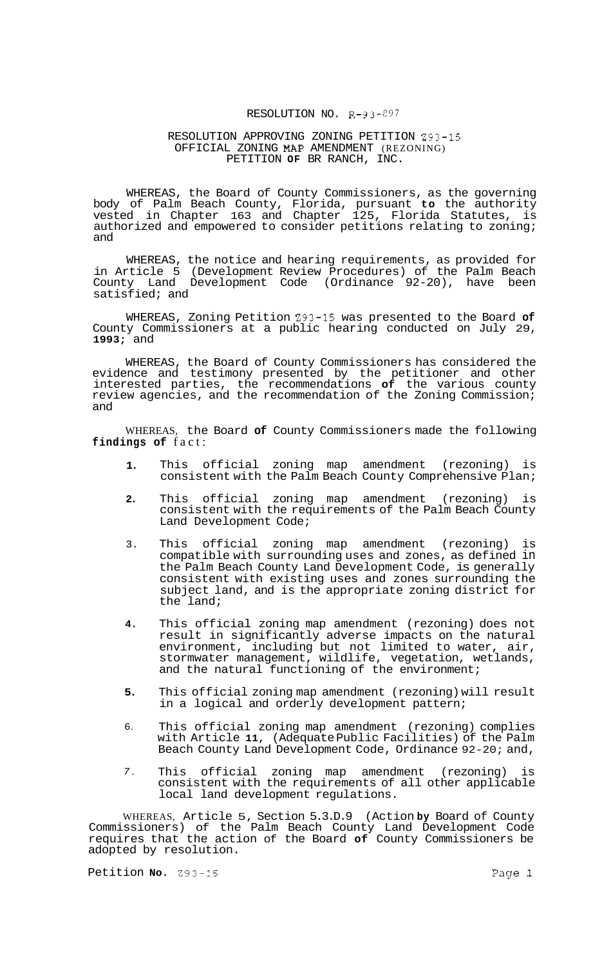## RESOLUTION NO. R-93-297

## RESOLUTION APPROVING ZONING PETITION 293-15 OFFICIAL ZONING MAP AMENDMENT (REZONING) PETITION **OF** BR RANCH, INC.

WHEREAS, the Board of County Commissioners, as the governing body of Palm Beach County, Florida, pursuant **to** the authority vested in Chapter 163 and Chapter 125, Florida Statutes, is authorized and empowered to consider petitions relating to zoning; and

WHEREAS, the notice and hearing requirements, as provided for in Article 5 (Development Review Procedures) of the Palm Beach County Land Development Code (Ordinance 92-20), have been satisfied; and

WHEREAS, Zoning Petition 293-15 was presented to the Board **of**  County Commissioners at a public hearing conducted on July 29, **1993;** and

WHEREAS, the Board of County Commissioners has considered the evidence and testimony presented by the petitioner and other interested parties, the recommendations **of** the various county review agencies, and the recommendation of the Zoning Commission; and

WHEREAS, the Board **of** County Commissioners made the following **findings of** fact:

- **1.**  This official zoning map amendment (rezoning) is consistent with the Palm Beach County Comprehensive Plan;
- **2.**  This official zoning map amendment (rezoning) is consistent with the requirements of the Palm Beach County Land Development Code;
- 3. This official zoning map amendment (rezoning) is compatible with surrounding uses and zones, as defined in the Palm Beach County Land Development Code, is generally consistent with existing uses and zones surrounding the subject land, and is the appropriate zoning district for the land;
- **4.**  This official zoning map amendment (rezoning) does not result in significantly adverse impacts on the natural environment, including but not limited to water, air, stormwater management, wildlife, vegetation, wetlands, and the natural functioning of the environment;
- **5.**  This official zoning map amendment (rezoning) will result in a logical and orderly development pattern;
- 6. This official zoning map amendment (rezoning) complies with Article **11,** (Adequate Public Facilities) of the Palm Beach County Land Development Code, Ordinance 92-20; and,
- *7.*  This official zoning map amendment (rezoning) consistent with the requirements of all other applicable local land development regulations.

WHEREAS, Article 5, Section 5.3.D.9 (Action **by** Board of County Commissioners) of the Palm Beach County Land Development Code requires that the action of the Board **of** County Commissioners be adopted by resolution.

Petition **No.** 293-15 Page 1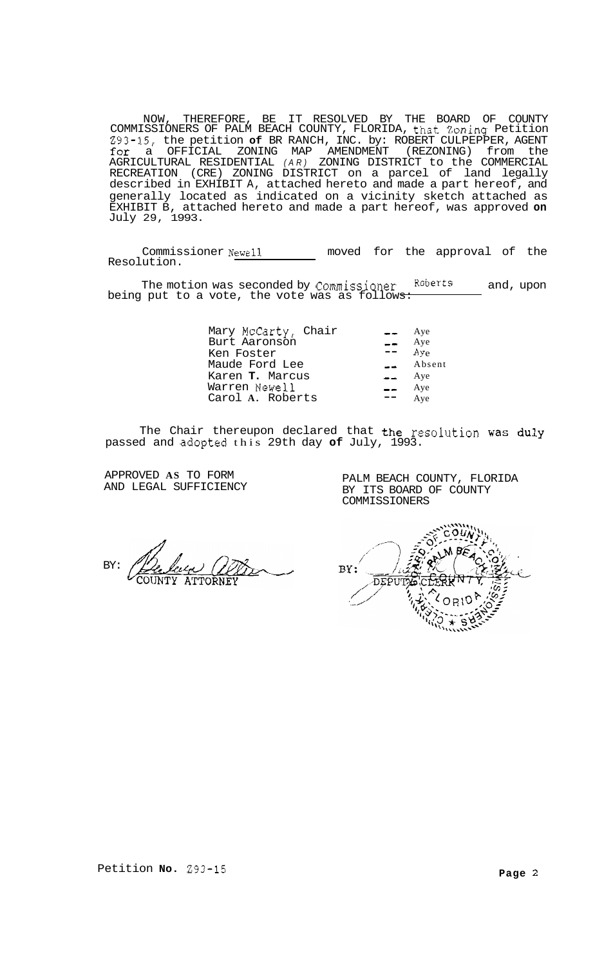NOW, THEREFORE, BE IT RESOLVED BY THE BOARD OF COUNTY COMMISSIONERS OF PALM BEACH COUNTY, FLORIDA, that Zoning Petition 293-15, the petition **of** BR RANCH, INC. by: ROBERT CULPEPPER, AGENT for a OFFICIAL ZONING MAP AMENDMENT (REZONING) from the AGRICULTURAL RESIDENTIAL *(AR)* ZONING DISTRICT to the COMMERCIAL RECREATION (CRE) ZONING DISTRICT on a parcel of land legally described in EXHIBIT A, attached hereto and made a part hereof, and generally located as indicated on a vicinity sketch attached as EXHIBIT B, attached hereto and made a part hereof, was approved **on**  July 29, 1993.

Commissioner Newell moved for the approval of the Resolution.

The motion was seconded by Commissioner Roberts and, upon being put to a vote, the vote was as follows:

| Mary McCarty, Chair | $= -$         | Aye              |
|---------------------|---------------|------------------|
| Burt Aaronson       | $\equiv$ Aye  |                  |
| Ken Foster          | and the con-  | Avg <sub>e</sub> |
| Maude Ford Lee      |               | Absent           |
| Karen T. Marcus     | $= -$         | Aye              |
| Warren Newell       | $\sim$ $\sim$ | Aye              |
| Carol A. Roberts    |               | Aye              |
|                     |               |                  |

The Chair thereupon declared that the resolution was duly passed and ,adopted this 29th day **of** July, 1993.

APPROVED **AS** TO FORM AND LEGAL SUFFICIENCY

PALM BEACH COUNTY, FLORIDA BY ITS BOARD OF COUNTY COMMISSIONERS

BY:

BY: DEPUTY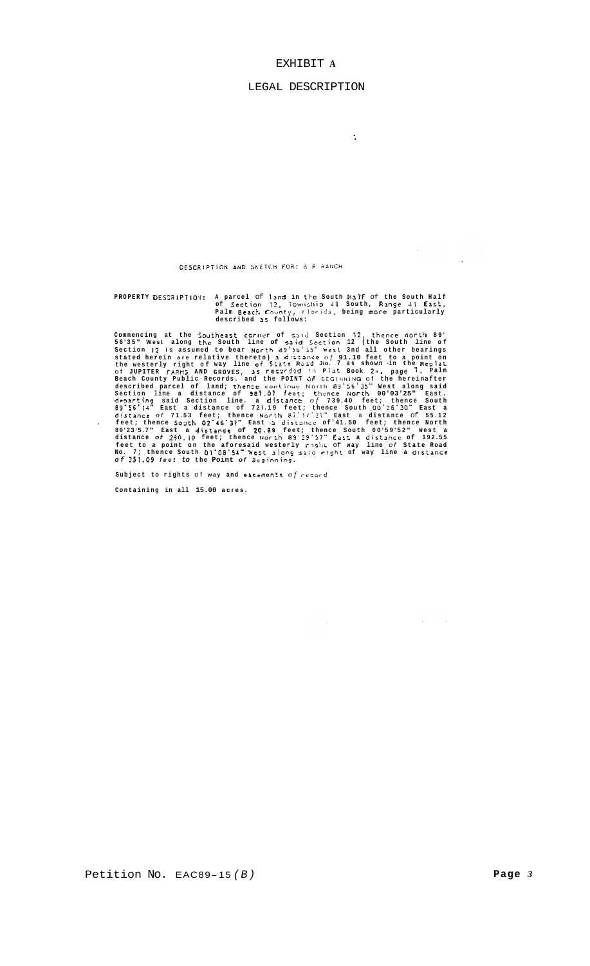## EXHIBIT A

## LEGAL DESCRIPTION

 $\ddot{\cdot}$ 

 $\sim$ 

 $\sim 10^{11}$ 

DESCRIPTION AND SKETCH FOR: 8 R RANCH

PROPERTY DESCRIPTION: A parcel of land in the South Half of the South Half of Section 12, Township 41 South, Range 41 East,<br>Palm Beact. County, Florida, being more particularly<br>described as follows:

commencing at the Southeast COTNUT of Suid Section 12, thence North 89'<br>
S6'35" West along the South line of said Section 12 (the South line of<br>
Section 12 is assumed to bear North 89'56'35" West 3nd all other bearings<br>
st

 $\hat{\mathcal{A}}$ 

Subject to rights of way and easements  $of$  record

Containing in all 15.00 acres.